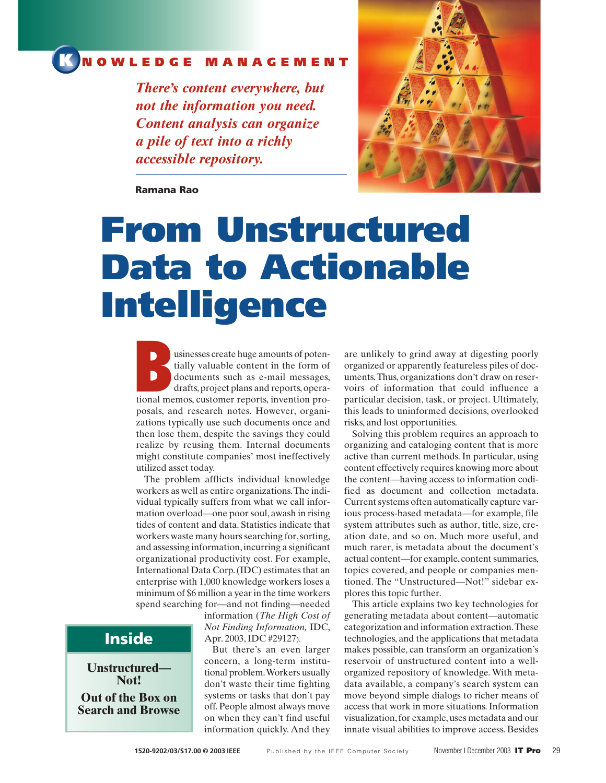#### **NOWLEDGE MANAGEMENT**

*There's content everywhere, but not the information you need. Content analysis can organize a pile of text into a richly accessible repository.*



**Ramana Rao**

# **From Unstructured Data to Actionable Intelligence**

**Businesses create huge amounts of potentially valuable content in the form of documents such as e-mail messages, drafts, project plans and reports, operational memos, customer reports, invention pro**tially valuable content in the form of documents such as e-mail messages, drafts, project plans and reports, operaposals, and research notes. However, organizations typically use such documents once and then lose them, despite the savings they could realize by reusing them. Internal documents might constitute companies' most ineffectively utilized asset today.

The problem afflicts individual knowledge workers as well as entire organizations.The individual typically suffers from what we call information overload—one poor soul, awash in rising tides of content and data. Statistics indicate that workers waste many hours searching for, sorting, and assessing information, incurring a significant organizational productivity cost. For example, International Data Corp.(IDC) estimates that an enterprise with 1,000 knowledge workers loses a minimum of \$6 million a year in the time workers spend searching for—and not finding—needed

> information (*The High Cost of Not Finding Information,* IDC, Apr. 2003, IDC #29127).

But there's an even larger concern, a long-term institutional problem.Workers usually don't waste their time fighting systems or tasks that don't pay off. People almost always move on when they can't find useful information quickly. And they

are unlikely to grind away at digesting poorly organized or apparently featureless piles of documents.Thus, organizations don't draw on reservoirs of information that could influence a particular decision, task, or project. Ultimately, this leads to uninformed decisions, overlooked risks, and lost opportunities.

Solving this problem requires an approach to organizing and cataloging content that is more active than current methods. In particular, using content effectively requires knowing more about the content—having access to information codified as document and collection metadata. Current systems often automatically capture various process-based metadata—for example, file system attributes such as author, title, size, creation date, and so on. Much more useful, and much rarer, is metadata about the document's actual content—for example, content summaries, topics covered, and people or companies mentioned. The "Unstructured—Not!" sidebar explores this topic further.

This article explains two key technologies for generating metadata about content—automatic categorization and information extraction.These technologies, and the applications that metadata makes possible, can transform an organization's reservoir of unstructured content into a wellorganized repository of knowledge. With metadata available, a company's search system can move beyond simple dialogs to richer means of access that work in more situations. Information visualization, for example, uses metadata and our innate visual abilities to improve access. Besides

## **Inside**

**Unstructured— Not! Out of the Box on Search and Browse**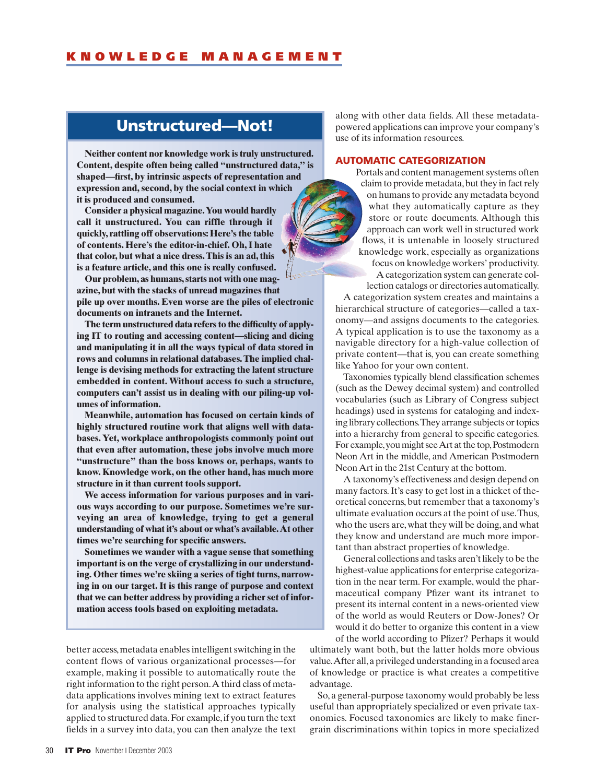## **Unstructured—Not!**

**Neither content nor knowledge work is truly unstructured. Content, despite often being called "unstructured data," is shaped—first, by intrinsic aspects of representation and expression and, second, by the social context in which it is produced and consumed.**

**Consider a physical magazine.You would hardly call it unstructured. You can riffle through it quickly, rattling off observations: Here's the table of contents. Here's the editor-in-chief. Oh, I hate that color, but what a nice dress. This is an ad, this is a feature article, and this one is really confused.**

**Our problem, as humans, starts not with one magazine, but with the stacks of unread magazines that pile up over months. Even worse are the piles of electronic documents on intranets and the Internet.**

**The term unstructured data refers to the difficulty of applying IT to routing and accessing content—slicing and dicing and manipulating it in all the ways typical of data stored in rows and columns in relational databases. The implied challenge is devising methods for extracting the latent structure embedded in content. Without access to such a structure, computers can't assist us in dealing with our piling-up volumes of information.**

**Meanwhile, automation has focused on certain kinds of highly structured routine work that aligns well with databases. Yet, workplace anthropologists commonly point out that even after automation, these jobs involve much more "unstructure" than the boss knows or, perhaps, wants to know. Knowledge work, on the other hand, has much more structure in it than current tools support.**

**We access information for various purposes and in various ways according to our purpose. Sometimes we're surveying an area of knowledge, trying to get a general understanding of what it's about or what's available.At other times we're searching for specific answers.**

**Sometimes we wander with a vague sense that something important is on the verge of crystallizing in our understanding. Other times we're skiing a series of tight turns, narrowing in on our target. It is this range of purpose and context that we can better address by providing a richer set of information access tools based on exploiting metadata.**

better access, metadata enables intelligent switching in the content flows of various organizational processes—for example, making it possible to automatically route the right information to the right person.A third class of metadata applications involves mining text to extract features for analysis using the statistical approaches typically applied to structured data. For example, if you turn the text fields in a survey into data, you can then analyze the text along with other data fields. All these metadatapowered applications can improve your company's use of its information resources.

#### **AUTOMATIC CATEGORIZATION**

Portals and content management systems often claim to provide metadata,but they in fact rely on humans to provide any metadata beyond what they automatically capture as they store or route documents. Although this approach can work well in structured work flows, it is untenable in loosely structured knowledge work, especially as organizations focus on knowledge workers' productivity. A categorization system can generate col-

lection catalogs or directories automatically.

A categorization system creates and maintains a hierarchical structure of categories—called a taxonomy—and assigns documents to the categories. A typical application is to use the taxonomy as a navigable directory for a high-value collection of private content—that is, you can create something like Yahoo for your own content.

Taxonomies typically blend classification schemes (such as the Dewey decimal system) and controlled vocabularies (such as Library of Congress subject headings) used in systems for cataloging and indexing library collections.They arrange subjects or topics into a hierarchy from general to specific categories. For example,you might see Art at the top,Postmodern Neon Art in the middle, and American Postmodern Neon Art in the 21st Century at the bottom.

A taxonomy's effectiveness and design depend on many factors. It's easy to get lost in a thicket of theoretical concerns, but remember that a taxonomy's ultimate evaluation occurs at the point of use.Thus, who the users are, what they will be doing, and what they know and understand are much more important than abstract properties of knowledge.

General collections and tasks aren't likely to be the highest-value applications for enterprise categorization in the near term. For example, would the pharmaceutical company Pfizer want its intranet to present its internal content in a news-oriented view of the world as would Reuters or Dow-Jones? Or would it do better to organize this content in a view

of the world according to Pfizer? Perhaps it would ultimately want both, but the latter holds more obvious value.After all,a privileged understanding in a focused area of knowledge or practice is what creates a competitive advantage.

So, a general-purpose taxonomy would probably be less useful than appropriately specialized or even private taxonomies. Focused taxonomies are likely to make finergrain discriminations within topics in more specialized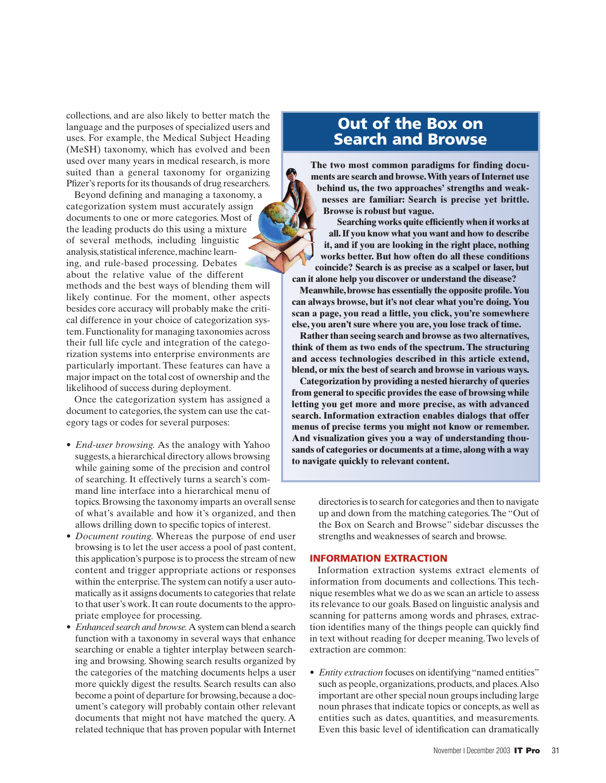collections, and are also likely to better match the language and the purposes of specialized users and uses. For example, the Medical Subject Heading (MeSH) taxonomy, which has evolved and been used over many years in medical research, is more suited than a general taxonomy for organizing Pfizer's reports for its thousands of drug researchers.

Beyond defining and managing a taxonomy, a categorization system must accurately assign documents to one or more categories. Most of the leading products do this using a mixture of several methods, including linguistic analysis,statistical inference,machine learning, and rule-based processing. Debates about the relative value of the different methods and the best ways of blending them will likely continue. For the moment, other aspects besides core accuracy will probably make the critical difference in your choice of categorization system. Functionality for managing taxonomies across their full life cycle and integration of the categorization systems into enterprise environments are particularly important. These features can have a major impact on the total cost of ownership and the likelihood of success during deployment.

Once the categorization system has assigned a document to categories, the system can use the category tags or codes for several purposes:

- *End-user browsing.* As the analogy with Yahoo suggests, a hierarchical directory allows browsing while gaining some of the precision and control of searching. It effectively turns a search's command line interface into a hierarchical menu of topics. Browsing the taxonomy imparts an overall sense of what's available and how it's organized, and then allows drilling down to specific topics of interest.
- *Document routing.* Whereas the purpose of end user browsing is to let the user access a pool of past content, this application's purpose is to process the stream of new content and trigger appropriate actions or responses within the enterprise.The system can notify a user automatically as it assigns documents to categories that relate to that user's work.It can route documents to the appropriate employee for processing.
- *Enhanced search and browse.*A system can blend a search function with a taxonomy in several ways that enhance searching or enable a tighter interplay between searching and browsing. Showing search results organized by the categories of the matching documents helps a user more quickly digest the results. Search results can also become a point of departure for browsing, because a document's category will probably contain other relevant documents that might not have matched the query. A related technique that has proven popular with Internet

## **Out of the Box on Search and Browse**

**The two most common paradigms for finding documents are search and browse.With years of Internet use behind us, the two approaches' strengths and weaknesses are familiar: Search is precise yet brittle. Browse is robust but vague.**

**Searching works quite efficiently when it works at all. If you know what you want and how to describe it, and if you are looking in the right place, nothing works better. But how often do all these conditions coincide? Search is as precise as a scalpel or laser, but can it alone help you discover or understand the disease?**

**Meanwhile, browse has essentially the opposite profile.You can always browse, but it's not clear what you're doing. You scan a page, you read a little, you click, you're somewhere else, you aren't sure where you are, you lose track of time.**

**Rather than seeing search and browse as two alternatives, think of them as two ends of the spectrum. The structuring and access technologies described in this article extend, blend, or mix the best of search and browse in various ways.**

**Categorization by providing a nested hierarchy of queries from general to specific provides the ease of browsing while letting you get more and more precise, as with advanced search. Information extraction enables dialogs that offer menus of precise terms you might not know or remember. And visualization gives you a way of understanding thousands of categories or documents at a time, along with a way to navigate quickly to relevant content.**

> directories is to search for categories and then to navigate up and down from the matching categories.The "Out of the Box on Search and Browse" sidebar discusses the strengths and weaknesses of search and browse.

#### **INFORMATION EXTRACTION**

Information extraction systems extract elements of information from documents and collections. This technique resembles what we do as we scan an article to assess its relevance to our goals. Based on linguistic analysis and scanning for patterns among words and phrases, extraction identifies many of the things people can quickly find in text without reading for deeper meaning.Two levels of extraction are common:

• *Entity extraction* focuses on identifying "named entities" such as people, organizations, products, and places.Also important are other special noun groups including large noun phrases that indicate topics or concepts, as well as entities such as dates, quantities, and measurements. Even this basic level of identification can dramatically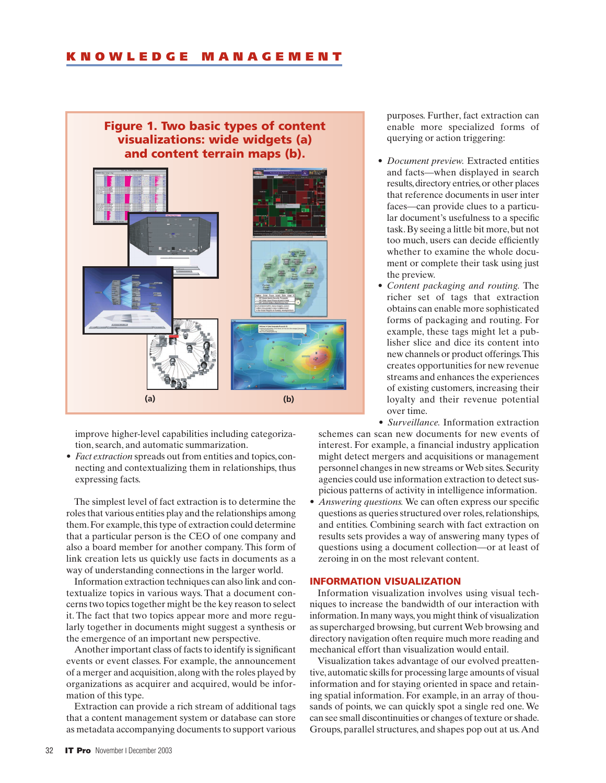

improve higher-level capabilities including categorization, search, and automatic summarization.

• *Fact extraction* spreads out from entities and topics, connecting and contextualizing them in relationships, thus expressing facts.

The simplest level of fact extraction is to determine the roles that various entities play and the relationships among them.For example,this type of extraction could determine that a particular person is the CEO of one company and also a board member for another company. This form of link creation lets us quickly use facts in documents as a way of understanding connections in the larger world.

Information extraction techniques can also link and contextualize topics in various ways. That a document concerns two topics together might be the key reason to select it. The fact that two topics appear more and more regularly together in documents might suggest a synthesis or the emergence of an important new perspective.

Another important class of facts to identify is significant events or event classes. For example, the announcement of a merger and acquisition, along with the roles played by organizations as acquirer and acquired, would be information of this type.

Extraction can provide a rich stream of additional tags that a content management system or database can store as metadata accompanying documents to support various purposes. Further, fact extraction can enable more specialized forms of querying or action triggering:

- *Document preview.* Extracted entities and facts—when displayed in search results,directory entries,or other places that reference documents in user inter faces—can provide clues to a particular document's usefulness to a specific task. By seeing a little bit more, but not too much, users can decide efficiently whether to examine the whole document or complete their task using just the preview.
- *Content packaging and routing.* The richer set of tags that extraction obtains can enable more sophisticated forms of packaging and routing. For example, these tags might let a publisher slice and dice its content into new channels or product offerings.This creates opportunities for new revenue streams and enhances the experiences of existing customers, increasing their loyalty and their revenue potential over time.

• *Surveillance.* Information extraction

schemes can scan new documents for new events of interest. For example, a financial industry application might detect mergers and acquisitions or management personnel changes in new streams or Web sites. Security agencies could use information extraction to detect suspicious patterns of activity in intelligence information.

• *Answering questions.* We can often express our specific questions as queries structured over roles, relationships, and entities. Combining search with fact extraction on results sets provides a way of answering many types of questions using a document collection—or at least of zeroing in on the most relevant content.

#### **INFORMATION VISUALIZATION**

Information visualization involves using visual techniques to increase the bandwidth of our interaction with information.In many ways,you might think of visualization as supercharged browsing, but current Web browsing and directory navigation often require much more reading and mechanical effort than visualization would entail.

Visualization takes advantage of our evolved preattentive,automatic skills for processing large amounts of visual information and for staying oriented in space and retaining spatial information. For example, in an array of thousands of points, we can quickly spot a single red one. We can see small discontinuities or changes of texture or shade. Groups, parallel structures, and shapes pop out at us.And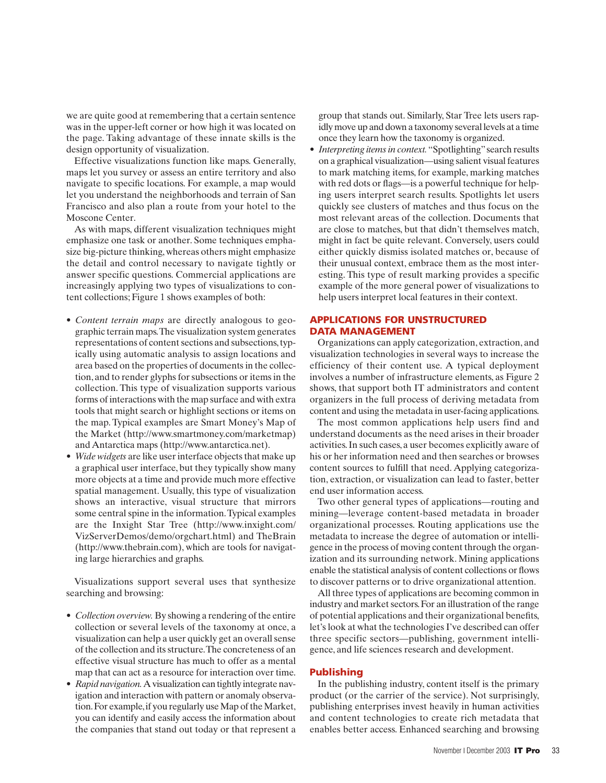we are quite good at remembering that a certain sentence was in the upper-left corner or how high it was located on the page. Taking advantage of these innate skills is the design opportunity of visualization.

Effective visualizations function like maps. Generally, maps let you survey or assess an entire territory and also navigate to specific locations. For example, a map would let you understand the neighborhoods and terrain of San Francisco and also plan a route from your hotel to the Moscone Center.

As with maps, different visualization techniques might emphasize one task or another. Some techniques emphasize big-picture thinking, whereas others might emphasize the detail and control necessary to navigate tightly or answer specific questions. Commercial applications are increasingly applying two types of visualizations to content collections; Figure 1 shows examples of both:

- *Content terrain maps* are directly analogous to geographic terrain maps.The visualization system generates representations of content sections and subsections,typically using automatic analysis to assign locations and area based on the properties of documents in the collection, and to render glyphs for subsections or items in the collection. This type of visualization supports various forms of interactions with the map surface and with extra tools that might search or highlight sections or items on the map. Typical examples are Smart Money's Map of the Market (http://www.smartmoney.com/marketmap) and Antarctica maps (http://www.antarctica.net).
- *Wide widgets* are like user interface objects that make up a graphical user interface, but they typically show many more objects at a time and provide much more effective spatial management. Usually, this type of visualization shows an interactive, visual structure that mirrors some central spine in the information.Typical examples are the Inxight Star Tree (http://www.inxight.com/ VizServerDemos/demo/orgchart.html) and TheBrain (http://www.thebrain.com), which are tools for navigating large hierarchies and graphs.

Visualizations support several uses that synthesize searching and browsing:

- *Collection overview.* By showing a rendering of the entire collection or several levels of the taxonomy at once, a visualization can help a user quickly get an overall sense of the collection and its structure.The concreteness of an effective visual structure has much to offer as a mental map that can act as a resource for interaction over time.
- *Rapid navigation.*A visualization can tightly integrate navigation and interaction with pattern or anomaly observation.For example,if you regularly use Map of the Market, you can identify and easily access the information about the companies that stand out today or that represent a

group that stands out. Similarly, Star Tree lets users rapidly move up and down a taxonomy several levels at a time once they learn how the taxonomy is organized.

• *Interpreting items in context*. "Spotlighting" search results on a graphical visualization—using salient visual features to mark matching items, for example, marking matches with red dots or flags—is a powerful technique for helping users interpret search results. Spotlights let users quickly see clusters of matches and thus focus on the most relevant areas of the collection. Documents that are close to matches, but that didn't themselves match, might in fact be quite relevant. Conversely, users could either quickly dismiss isolated matches or, because of their unusual context, embrace them as the most interesting. This type of result marking provides a specific example of the more general power of visualizations to help users interpret local features in their context.

### **APPLICATIONS FOR UNSTRUCTURED DATA MANAGEMENT**

Organizations can apply categorization, extraction, and visualization technologies in several ways to increase the efficiency of their content use. A typical deployment involves a number of infrastructure elements, as Figure 2 shows, that support both IT administrators and content organizers in the full process of deriving metadata from content and using the metadata in user-facing applications.

The most common applications help users find and understand documents as the need arises in their broader activities. In such cases, a user becomes explicitly aware of his or her information need and then searches or browses content sources to fulfill that need. Applying categorization, extraction, or visualization can lead to faster, better end user information access.

Two other general types of applications—routing and mining—leverage content-based metadata in broader organizational processes. Routing applications use the metadata to increase the degree of automation or intelligence in the process of moving content through the organization and its surrounding network. Mining applications enable the statistical analysis of content collections or flows to discover patterns or to drive organizational attention.

All three types of applications are becoming common in industry and market sectors.For an illustration of the range of potential applications and their organizational benefits, let's look at what the technologies I've described can offer three specific sectors—publishing, government intelligence, and life sciences research and development.

#### **Publishing**

In the publishing industry, content itself is the primary product (or the carrier of the service). Not surprisingly, publishing enterprises invest heavily in human activities and content technologies to create rich metadata that enables better access. Enhanced searching and browsing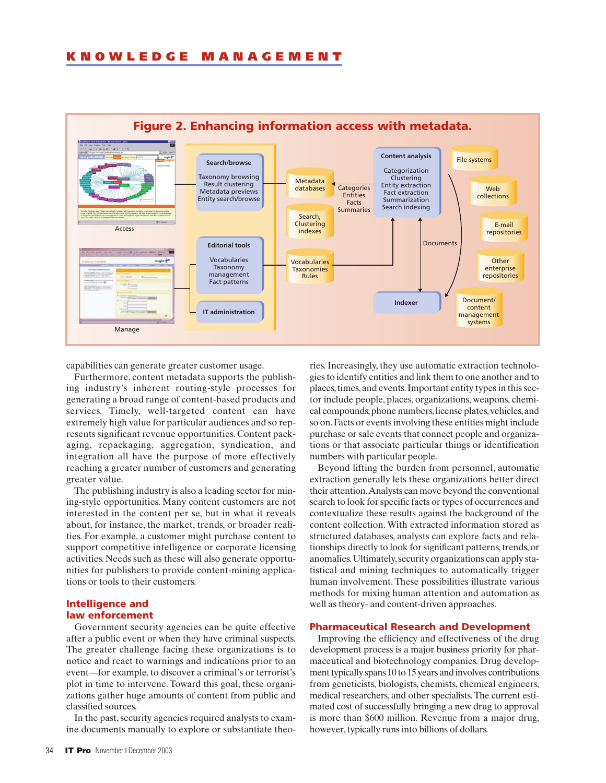

capabilities can generate greater customer usage.

Furthermore, content metadata supports the publishing industry's inherent routing-style processes for generating a broad range of content-based products and services. Timely, well-targeted content can have extremely high value for particular audiences and so represents significant revenue opportunities. Content packaging, repackaging, aggregation, syndication, and integration all have the purpose of more effectively reaching a greater number of customers and generating greater value.

The publishing industry is also a leading sector for mining-style opportunities. Many content customers are not interested in the content per se, but in what it reveals about, for instance, the market, trends, or broader realities. For example, a customer might purchase content to support competitive intelligence or corporate licensing activities. Needs such as these will also generate opportunities for publishers to provide content-mining applications or tools to their customers.

#### **Intelligence and law enforcement**

Government security agencies can be quite effective after a public event or when they have criminal suspects. The greater challenge facing these organizations is to notice and react to warnings and indications prior to an event—for example, to discover a criminal's or terrorist's plot in time to intervene. Toward this goal, these organizations gather huge amounts of content from public and classified sources.

In the past, security agencies required analysts to examine documents manually to explore or substantiate theories. Increasingly, they use automatic extraction technologies to identify entities and link them to one another and to places,times,and events.Important entity types in this sector include people, places, organizations, weapons, chemical compounds, phone numbers, license plates, vehicles, and so on.Facts or events involving these entities might include purchase or sale events that connect people and organizations or that associate particular things or identification numbers with particular people.

Beyond lifting the burden from personnel, automatic extraction generally lets these organizations better direct their attention.Analysts can move beyond the conventional search to look for specific facts or types of occurrences and contextualize these results against the background of the content collection. With extracted information stored as structured databases, analysts can explore facts and relationships directly to look for significant patterns, trends, or anomalies.Ultimately,security organizations can apply statistical and mining techniques to automatically trigger human involvement. These possibilities illustrate various methods for mixing human attention and automation as well as theory- and content-driven approaches.

#### **Pharmaceutical Research and Development**

Improving the efficiency and effectiveness of the drug development process is a major business priority for pharmaceutical and biotechnology companies. Drug development typically spans 10 to 15 years and involves contributions from geneticists, biologists, chemists, chemical engineers, medical researchers, and other specialists.The current estimated cost of successfully bringing a new drug to approval is more than \$600 million. Revenue from a major drug, however, typically runs into billions of dollars.